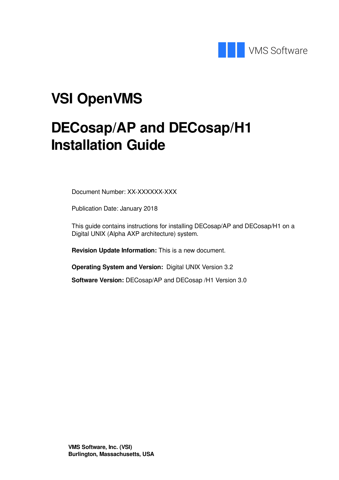

# **VSI OpenVMS**

# **DECosap/AP and DECosap/H1 Installation Guide**

Document Number: XX-XXXXXX-XXX

Publication Date: January 2018

This guide contains instructions for installing DECosap/AP and DECosap/H1 on a Digital UNIX (Alpha AXP architecture) system.

**Revision Update Information:** This is a new document.

**Operating System and Version:** Digital UNIX Version 3.2

**Software Version:** DECosap/AP and DECosap /H1 Version 3.0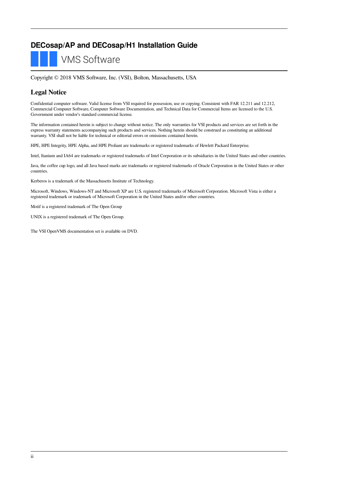#### **DECosap/AP and DECosap/H1 Installation Guide**

**VMS Software** 

Copyright © 2018 VMS Software, Inc. (VSI), Bolton, Massachusetts, USA

#### **Legal Notice**

Confidential computer software. Valid license from VSI required for possession, use or copying. Consistent with FAR 12.211 and 12.212, Commercial Computer Software, Computer Software Documentation, and Technical Data for Commercial Items are licensed to the U.S. Government under vendor's standard commercial license.

The information contained herein is subject to change without notice. The only warranties for VSI products and services are set forth in the express warranty statements accompanying such products and services. Nothing herein should be construed as constituting an additional warranty. VSI shall not be liable for technical or editorial errors or omissions contained herein.

HPE, HPE Integrity, HPE Alpha, and HPE Proliant are trademarks or registered trademarks of Hewlett Packard Enterprise.

Intel, Itanium and IA64 are trademarks or registered trademarks of Intel Corporation or its subsidiaries in the United States and other countries.

Java, the coffee cup logo, and all Java based marks are trademarks or registered trademarks of Oracle Corporation in the United States or other countries.

Kerberos is a trademark of the Massachusetts Institute of Technology.

Microsoft, Windows, Windows-NT and Microsoft XP are U.S. registered trademarks of Microsoft Corporation. Microsoft Vista is either a registered trademark or trademark of Microsoft Corporation in the United States and/or other countries.

Motif is a registered trademark of The Open Group

UNIX is a registered trademark of The Open Group.

The VSI OpenVMS documentation set is available on DVD.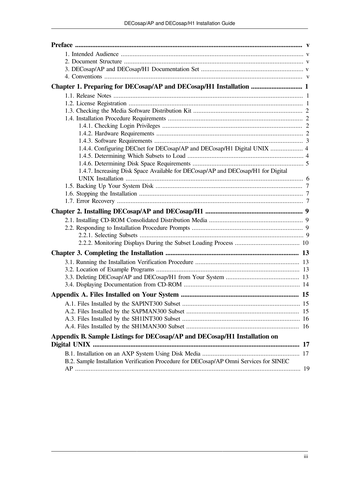| 1.4.4. Configuring DECnet for DECosap/AP and DECosap/H1 Digital UNIX  4                |  |
|----------------------------------------------------------------------------------------|--|
|                                                                                        |  |
|                                                                                        |  |
| 1.4.7. Increasing Disk Space Available for DECosap/AP and DECosap/H1 for Digital       |  |
|                                                                                        |  |
|                                                                                        |  |
|                                                                                        |  |
|                                                                                        |  |
|                                                                                        |  |
|                                                                                        |  |
|                                                                                        |  |
|                                                                                        |  |
|                                                                                        |  |
|                                                                                        |  |
|                                                                                        |  |
|                                                                                        |  |
|                                                                                        |  |
|                                                                                        |  |
|                                                                                        |  |
|                                                                                        |  |
|                                                                                        |  |
|                                                                                        |  |
|                                                                                        |  |
|                                                                                        |  |
| Appendix B. Sample Listings for DECosap/AP and DECosap/H1 Installation on              |  |
|                                                                                        |  |
| B.2. Sample Installation Verification Procedure for DECosap/AP Omni Services for SINEC |  |
|                                                                                        |  |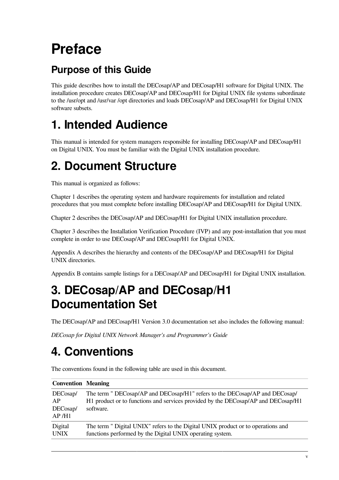# <span id="page-4-0"></span>**Preface**

### **Purpose of this Guide**

This guide describes how to install the DECosap/AP and DECosap/H1 software for Digital UNIX. The installation procedure creates DECosap/AP and DECosap/H1 for Digital UNIX file systems subordinate to the /usr/opt and /usr/var /opt directories and loads DECosap/AP and DECosap/H1 for Digital UNIX software subsets.

## <span id="page-4-1"></span>**1. Intended Audience**

This manual is intended for system managers responsible for installing DECosap/AP and DECosap/H1 on Digital UNIX. You must be familiar with the Digital UNIX installation procedure.

## <span id="page-4-2"></span>**2. Document Structure**

This manual is organized as follows:

[Chapter](#page-6-0) 1 describes the operating system and hardware requirements for installation and related procedures that you must complete before installing DECosap/AP and DECosap/H1 for Digital UNIX.

[Chapter](#page-14-0) 2 describes the DECosap/AP and DECosap/H1 for Digital UNIX installation procedure.

[Chapter](#page-18-0) 3 describes the Installation Verification Procedure (IVP) and any post-installation that you must complete in order to use DECosap/AP and DECosap/H1 for Digital UNIX.

[Appendix](#page-20-0) A describes the hierarchy and contents of the DECosap/AP and DECosap/H1 for Digital UNIX directories.

[Appendix](#page-22-0) B contains sample listings for a DECosap/AP and DECosap/H1 for Digital UNIX installation.

## <span id="page-4-3"></span>**3. DECosap/AP and DECosap/H1 Documentation Set**

The DECosap/AP and DECosap/H1 Version 3.0 documentation set also includes the following manual:

*DECosap for Digital UNIX Network Manager's and Programmer's Guide*

## <span id="page-4-4"></span>**4. Conventions**

| <b>Convention</b> Meaning                        |                                                                                                                                                                               |
|--------------------------------------------------|-------------------------------------------------------------------------------------------------------------------------------------------------------------------------------|
| DEC <sub>osap</sub> /<br>AP<br>DECosap/<br>AP/H1 | The term " DECosap/AP and DECosap/H1" refers to the DECosap/AP and DECosap/<br>H1 product or to functions and services provided by the DECosap/AP and DECosap/H1<br>software. |
| Digital<br><b>UNIX</b>                           | The term " Digital UNIX" refers to the Digital UNIX product or to operations and<br>functions performed by the Digital UNIX operating system.                                 |

The conventions found in the following table are used in this document.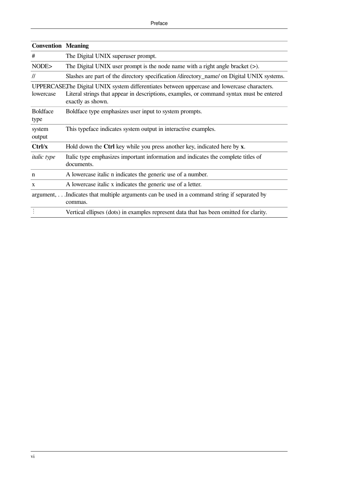| <b>Convention   Meaning</b> |                                                                                                                                                                                                              |  |  |  |
|-----------------------------|--------------------------------------------------------------------------------------------------------------------------------------------------------------------------------------------------------------|--|--|--|
| #                           | The Digital UNIX superuser prompt.                                                                                                                                                                           |  |  |  |
| NODE>                       | The Digital UNIX user prompt is the node name with a right angle bracket $(>)$ .                                                                                                                             |  |  |  |
| $\mathcal{U}$               | Slashes are part of the directory specification /directory_name/ on Digital UNIX systems.                                                                                                                    |  |  |  |
| lowercase                   | UPPERCASEThe Digital UNIX system differentiates between uppercase and lowercase characters.<br>Literal strings that appear in descriptions, examples, or command syntax must be entered<br>exactly as shown. |  |  |  |
| <b>Boldface</b><br>type     | Boldface type emphasizes user input to system prompts.                                                                                                                                                       |  |  |  |
| system<br>output            | This typeface indicates system output in interactive examples.                                                                                                                                               |  |  |  |
| Ctrl/x                      | Hold down the Ctrl key while you press another key, indicated here by x.                                                                                                                                     |  |  |  |
| <i>italic</i> type          | Italic type emphasizes important information and indicates the complete titles of<br>documents.                                                                                                              |  |  |  |
| n                           | A lowercase italic n indicates the generic use of a number.                                                                                                                                                  |  |  |  |
| X                           | A lowercase italic x indicates the generic use of a letter.                                                                                                                                                  |  |  |  |
|                             | argument, Indicates that multiple arguments can be used in a command string if separated by<br>commas.                                                                                                       |  |  |  |
|                             | Vertical ellipses (dots) in examples represent data that has been omitted for clarity.                                                                                                                       |  |  |  |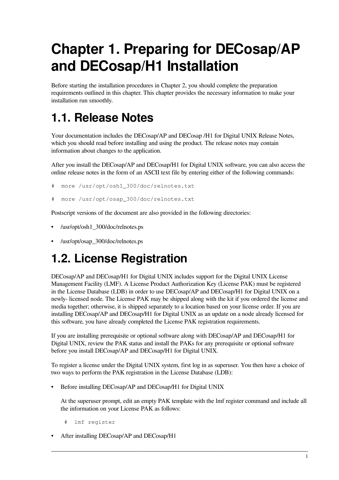# <span id="page-6-0"></span>**Chapter 1. Preparing for DECosap/AP and DECosap/H1 Installation**

Before starting the installation procedures in Chapter 2, you should complete the preparation requirements outlined in this chapter. This chapter provides the necessary information to make your installation run smoothly.

## <span id="page-6-1"></span>**1.1. Release Notes**

Your documentation includes the DECosap/AP and DECosap /H1 for Digital UNIX Release Notes, which you should read before installing and using the product. The release notes may contain information about changes to the application.

After you install the DECosap/AP and DECosap/H1 for Digital UNIX software, you can also access the online release notes in the form of an ASCII text file by entering either of the following commands:

```
# more /usr/opt/osh1_300/doc/relnotes.txt
```

```
more /usr/opt/osap 300/doc/relnotes.txt
```
Postscript versions of the document are also provided in the following directories:

- /usr/opt/osh1\_300/doc/relnotes.ps
- /usr/opt/osap\_300/doc/relnotes.ps

## <span id="page-6-2"></span>**1.2. License Registration**

DECosap/AP and DECosap/H1 for Digital UNIX includes support for the Digital UNIX License Management Facility (LMF). A License Product Authorization Key (License PAK) must be registered in the License Database (LDB) in order to use DECosap/AP and DECosap/H1 for Digital UNIX on a newly- licensed node. The License PAK may be shipped along with the kit if you ordered the license and media together; otherwise, it is shipped separately to a location based on your license order. If you are installing DECosap/AP and DECosap/H1 for Digital UNIX as an update on a node already licensed for this software, you have already completed the License PAK registration requirements.

If you are installing prerequisite or optional software along with DECosap/AP and DECosap/H1 for Digital UNIX, review the PAK status and install the PAKs for any prerequisite or optional software before you install DECosap/AP and DECosap/H1 for Digital UNIX.

To register a license under the Digital UNIX system, first log in as superuser. You then have a choice of two ways to perform the PAK registration in the License Database (LDB):

• Before installing DECosap/AP and DECosap/H1 for Digital UNIX

At the superuser prompt, edit an empty PAK template with the lmf register command and include all the information on your License PAK as follows:

```
 # lmf register
```
• After installing DECosap/AP and DECosap/H1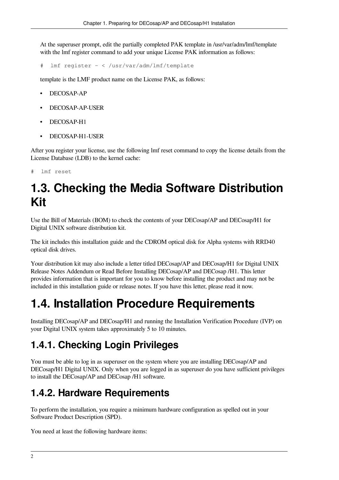At the superuser prompt, edit the partially completed PAK template in /usr/var/adm/lmf/template with the lmf register command to add your unique License PAK information as follows:

# lmf register - < /usr/var/adm/lmf/template

template is the LMF product name on the License PAK, as follows:

- DECOSAP-AP
- DECOSAP-AP-USER
- DECOSAP-H1
- DECOSAP-H1-USER

After you register your license, use the following lmf reset command to copy the license details from the License Database (LDB) to the kernel cache:

<span id="page-7-0"></span>lmf reset

## **1.3. Checking the Media Software Distribution Kit**

Use the Bill of Materials (BOM) to check the contents of your DECosap/AP and DECosap/H1 for Digital UNIX software distribution kit.

The kit includes this installation guide and the CDROM optical disk for Alpha systems with RRD40 optical disk drives.

Your distribution kit may also include a letter titled DECosap/AP and DECosap/H1 for Digital UNIX Release Notes Addendum or Read Before Installing DECosap/AP and DECosap /H1. This letter provides information that is important for you to know before installing the product and may not be included in this installation guide or release notes. If you have this letter, please read it now.

### <span id="page-7-1"></span>**1.4. Installation Procedure Requirements**

Installing DECosap/AP and DECosap/H1 and running the Installation Verification Procedure (IVP) on your Digital UNIX system takes approximately 5 to 10 minutes.

#### <span id="page-7-2"></span>**1.4.1. Checking Login Privileges**

You must be able to log in as superuser on the system where you are installing DECosap/AP and DECosap/H1 Digital UNIX. Only when you are logged in as superuser do you have sufficient privileges to install the DECosap/AP and DECosap /H1 software.

#### <span id="page-7-3"></span>**1.4.2. Hardware Requirements**

To perform the installation, you require a minimum hardware configuration as spelled out in your Software Product Description (SPD).

You need at least the following hardware items: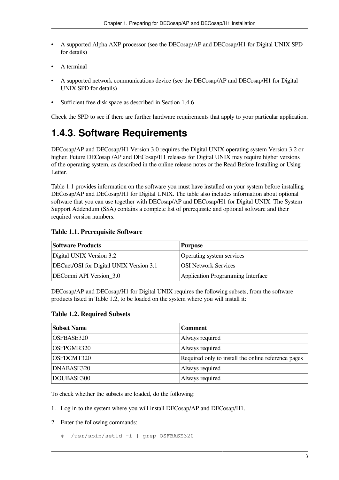- A supported Alpha AXP processor (see the DECosap/AP and DECosap/H1 for Digital UNIX SPD for details)
- A terminal
- A supported network communications device (see the DECosap/AP and DECosap/H1 for Digital UNIX SPD for details)
- Sufficient free disk space as described in [Section](#page-10-0) 1.4.6

Check the SPD to see if there are further hardware requirements that apply to your particular application.

#### <span id="page-8-0"></span>**1.4.3. Software Requirements**

DECosap/AP and DECosap/H1 Version 3.0 requires the Digital UNIX operating system Version 3.2 or higher. Future DECosap /AP and DECosap/H1 releases for Digital UNIX may require higher versions of the operating system, as described in the online release notes or the Read Before Installing or Using Letter.

[Table](#page-8-1) 1.1 provides information on the software you must have installed on your system before installing DECosap/AP and DECosap/H1 for Digital UNIX. The table also includes information about optional software that you can use together with DECosap/AP and DECosap/H1 for Digital UNIX. The System Support Addendum (SSA) contains a complete list of prerequisite and optional software and their required version numbers.

#### <span id="page-8-1"></span>**Table 1.1. Prerequisite Software**

| <b>Software Products</b>                | <b>Purpose</b>                    |
|-----------------------------------------|-----------------------------------|
| Digital UNIX Version 3.2                | Operating system services         |
| DECnet/OSI for Digital UNIX Version 3.1 | <b>OSI Network Services</b>       |
| DEComni API Version_3.0                 | Application Programming Interface |

DECosap/AP and DECosap/H1 for Digital UNIX requires the following subsets, from the software products listed in [Table](#page-8-2) 1.2, to be loaded on the system where you will install it:

#### <span id="page-8-2"></span>**Table 1.2. Required Subsets**

| <b>Subset Name</b> | <b>Comment</b>                                      |
|--------------------|-----------------------------------------------------|
| OSFBASE320         | Always required                                     |
| OSFPGMR320         | Always required                                     |
| OSFDCMT320         | Required only to install the online reference pages |
| DNABASE320         | Always required                                     |
| DOUBASE300         | Always required                                     |

To check whether the subsets are loaded, do the following:

- 1. Log in to the system where you will install DECosap/AP and DECosap/H1.
- 2. Enter the following commands:
	- # /usr/sbin/setld -i | grep OSFBASE320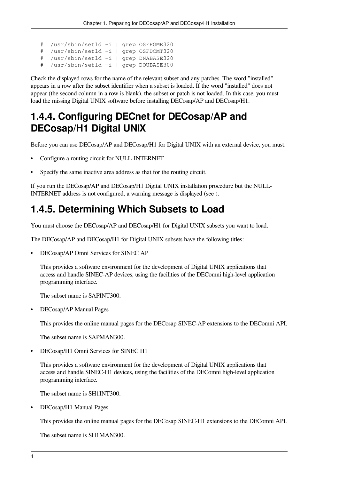# /usr/sbin/setld -i | grep OSFPGMR320 # /usr/sbin/setld -i | grep OSFDCMT320 # /usr/sbin/setld -i | grep DNABASE320 # /usr/sbin/setld -i | grep DOUBASE300

Check the displayed rows for the name of the relevant subset and any patches. The word "installed" appears in a row after the subset identifier when a subset is loaded. If the word "installed" does not appear (the second column in a row is blank), the subset or patch is not loaded. In this case, you must load the missing Digital UNIX software before installing DECosap/AP and DECosap/H1.

#### <span id="page-9-0"></span>**1.4.4. Configuring DECnet for DECosap/AP and DECosap/H1 Digital UNIX**

Before you can use DECosap/AP and DECosap/H1 for Digital UNIX with an external device, you must:

- Configure a routing circuit for NULL-INTERNET.
- Specify the same inactive area address as that for the routing circuit.

If you run the DECosap/AP and DECosap/H1 Digital UNIX installation procedure but the NULL-INTERNET address is not configured, a warning message is displayed (see ).

#### <span id="page-9-1"></span>**1.4.5. Determining Which Subsets to Load**

You must choose the DECosap/AP and DECosap/H1 for Digital UNIX subsets you want to load.

The DECosap/AP and DECosap/H1 for Digital UNIX subsets have the following titles:

• DECosap/AP Omni Services for SINEC AP

This provides a software environment for the development of Digital UNIX applications that access and handle SINEC-AP devices, using the facilities of the DEComni high-level application programming interface.

The subset name is SAPINT300.

• DECosap/AP Manual Pages

This provides the online manual pages for the DECosap SINEC-AP extensions to the DEComni API.

The subset name is SAPMAN300.

• DECosap/H1 Omni Services for SINEC H1

This provides a software environment for the development of Digital UNIX applications that access and handle SINEC-H1 devices, using the facilities of the DEComni high-level application programming interface.

The subset name is SH1INT300.

• DECosap/H1 Manual Pages

This provides the online manual pages for the DECosap SINEC-H1 extensions to the DEComni API.

The subset name is SH1MAN300.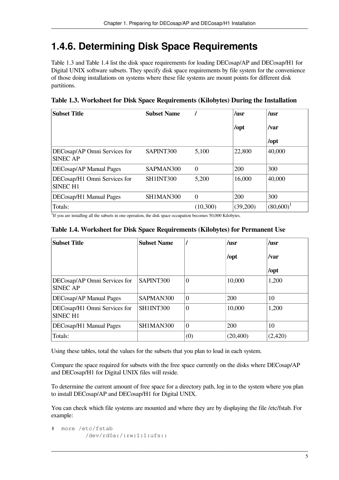#### <span id="page-10-0"></span>**1.4.6. Determining Disk Space Requirements**

[Table](#page-10-1) 1.3 and [Table](#page-10-2) 1.4 list the disk space requirements for loading DECosap/AP and DECosap/H1 for Digital UNIX software subsets. They specify disk space requirements by file system for the convenience of those doing installations on systems where these file systems are mount points for different disk partitions.

| <b>Subset Title</b>                             | <b>Subset Name</b> |                | /usr                  | $\mu$ sr     |
|-------------------------------------------------|--------------------|----------------|-----------------------|--------------|
|                                                 |                    |                | $\sqrt{\mathrm{opt}}$ | /var         |
|                                                 |                    |                |                       | $\sqrt{opt}$ |
| DECosap/AP Omni Services for<br><b>SINEC AP</b> | SAPINT300          | 5,100          | 22,800                | 40,000       |
| DECosap/AP Manual Pages                         | SAPMAN300          | $\overline{0}$ | 200                   | 300          |
| DECosap/H1 Omni Services for<br><b>SINEC H1</b> | SH1INT300          | 5,200          | 16,000                | 40,000       |
| DECosap/H1 Manual Pages                         | SH1MAN300          | $\overline{0}$ | 200                   | 300          |
| Totals:                                         |                    | (10,300)       | (39,200)              | $(80,600)^1$ |

<span id="page-10-1"></span>**Table 1.3. Worksheet for Disk Space Requirements (Kilobytes) During the Installation**

<span id="page-10-2"></span><sup>1</sup>If you are installing all the subsets in one operation, the disk space occupation becomes 50,000 Kilobytes.

#### **Table 1.4. Worksheet for Disk Space Requirements (Kilobytes) for Permanent Use**

| <b>Subset Title</b>                             | <b>Subset Name</b> |                  | /usr      | $\mu$ sr             |
|-------------------------------------------------|--------------------|------------------|-----------|----------------------|
|                                                 |                    |                  | /opt      | /var                 |
|                                                 |                    |                  |           | $\sqrt{\frac{1}{1}}$ |
| DECosap/AP Omni Services for<br><b>SINEC AP</b> | SAPINT300          | $\boldsymbol{0}$ | 10,000    | 1,200                |
| DECosap/AP Manual Pages                         | SAPMAN300          | $\theta$         | 200       | 10                   |
| DECosap/H1 Omni Services for<br><b>SINEC H1</b> | SH1INT300          | $\boldsymbol{0}$ | 10,000    | 1,200                |
| DECosap/H1 Manual Pages                         | SH1MAN300          | $\theta$         | 200       | 10                   |
| Totals:                                         |                    | (0)              | (20, 400) | (2,420)              |

Using these tables, total the values for the subsets that you plan to load in each system.

Compare the space required for subsets with the free space currently on the disks where DECosap/AP and DECosap/H1 for Digital UNIX files will reside.

To determine the current amount of free space for a directory path, log in to the system where you plan to install DECosap/AP and DECosap/H1 for Digital UNIX.

You can check which file systems are mounted and where they are by displaying the file /etc/fstab. For example:

# more /etc/fstab /dev/rd0a:/:rw:1:1:ufs::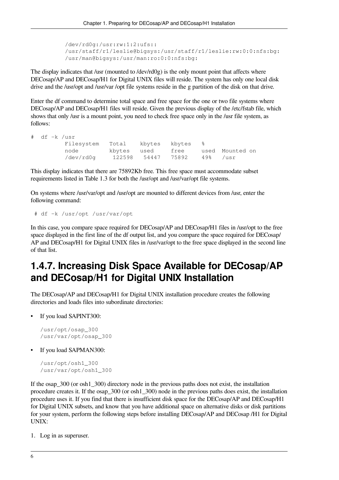```
 /dev/rd0g:/usr:rw:1:2:ufs::
 /usr/staff/r1/leslie@bigsys:/usr/staff/r1/leslie:rw:0:0:nfs:bg:
 /usr/man@bigsys:/usr/man:ro:0:0:nfs:bg:
```
The display indicates that /usr (mounted to /dev/rd0g) is the only mount point that affects where DECosap/AP and DECosap/H1 for Digital UNIX files will reside. The system has only one local disk drive and the /usr/opt and /usr/var /opt file systems reside in the g partition of the disk on that drive.

Enter the df command to determine total space and free space for the one or two file systems where DECosap/AP and DECosap/H1 files will reside. Given the previous display of the /etc/fstab file, which shows that only /usr is a mount point, you need to check free space only in the /usr file system, as follows:

df -k /usr

| Filesystem Total kbytes kbytes % |             |                             |  |                      |
|----------------------------------|-------------|-----------------------------|--|----------------------|
| node                             | kbytes used |                             |  | free used Mounted on |
| /dev/rd0q                        |             | 122598 54447 75892 49% /usr |  |                      |

This display indicates that there are 75892Kb free. This free space must accommodate subset requirements listed in [Table](#page-10-1) 1.3 for both the /usr/opt and /usr/var/opt file systems.

On systems where /usr/var/opt and /usr/opt are mounted to different devices from /usr, enter the following command:

```
 # df -k /usr/opt /usr/var/opt
```
In this case, you compare space required for DECosap/AP and DECosap/H1 files in /usr/opt to the free space displayed in the first line of the df output list, and you compare the space required for DECosap/ AP and DECosap/H1 for Digital UNIX files in /usr/var/opt to the free space displayed in the second line of that list.

#### <span id="page-11-0"></span>**1.4.7. Increasing Disk Space Available for DECosap/AP and DECosap/H1 for Digital UNIX Installation**

The DECosap/AP and DECosap/H1 for Digital UNIX installation procedure creates the following directories and loads files into subordinate directories:

If you load SAPINT300:

```
/usr/opt/osap_300
/usr/var/opt/osap_300
```
• If you load SAPMAN300:

```
/usr/opt/osh1_300
/usr/var/opt/osh1_300
```
If the osap 300 (or osh1, 300) directory node in the previous paths does not exist, the installation procedure creates it. If the osap\_300 (or osh1\_300) node in the previous paths does exist, the installation procedure uses it. If you find that there is insufficient disk space for the DECosap/AP and DECosap/H1 for Digital UNIX subsets, and know that you have additional space on alternative disks or disk partitions for your system, perform the following steps before installing DECosap/AP and DECosap /H1 for Digital UNIX:

1. Log in as superuser.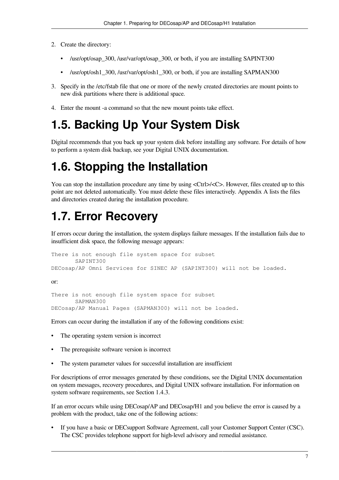- 2. Create the directory:
	- /usr/opt/osap\_300, /usr/var/opt/osap\_300, or both, if you are installing SAPINT300
	- /usr/opt/osh1\_300, /usr/var/opt/osh1\_300, or both, if you are installing SAPMAN300
- 3. Specify in the /etc/fstab file that one or more of the newly created directories are mount points to new disk partitions where there is additional space.
- <span id="page-12-0"></span>4. Enter the mount -a command so that the new mount points take effect.

## **1.5. Backing Up Your System Disk**

Digital recommends that you back up your system disk before installing any software. For details of how to perform a system disk backup, see your Digital UNIX documentation.

### <span id="page-12-1"></span>**1.6. Stopping the Installation**

You can stop the installation procedure any time by using  $\langle \text{Ctrl}\rangle/\langle \text{C}\rangle$ . However, files created up to this point are not deleted automatically. You must delete these files interactively. Appendix A lists the files and directories created during the installation procedure.

### <span id="page-12-2"></span>**1.7. Error Recovery**

If errors occur during the installation, the system displays failure messages. If the installation fails due to insufficient disk space, the following message appears:

There is not enough file system space for subset SAPINT300 DECosap/AP Omni Services for SINEC AP (SAPINT300) will not be loaded.

or:

There is not enough file system space for subset SAPMAN300 DECosap/AP Manual Pages (SAPMAN300) will not be loaded.

Errors can occur during the installation if any of the following conditions exist:

- The operating system version is incorrect
- The prerequisite software version is incorrect
- The system parameter values for successful installation are insufficient

For descriptions of error messages generated by these conditions, see the Digital UNIX documentation on system messages, recovery procedures, and Digital UNIX software installation. For information on system software requirements, see [Section](#page-8-0) 1.4.3.

If an error occurs while using DECosap/AP and DECosap/H1 and you believe the error is caused by a problem with the product, take one of the following actions:

If you have a basic or DEC support Software Agreement, call your Customer Support Center (CSC). The CSC provides telephone support for high-level advisory and remedial assistance.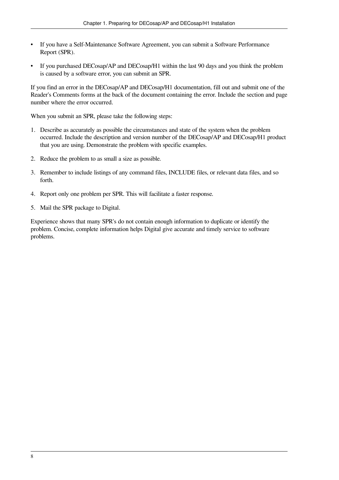- If you have a Self-Maintenance Software Agreement, you can submit a Software Performance Report (SPR).
- If you purchased DECosap/AP and DECosap/H1 within the last 90 days and you think the problem is caused by a software error, you can submit an SPR.

If you find an error in the DECosap/AP and DECosap/H1 documentation, fill out and submit one of the Reader's Comments forms at the back of the document containing the error. Include the section and page number where the error occurred.

When you submit an SPR, please take the following steps:

- 1. Describe as accurately as possible the circumstances and state of the system when the problem occurred. Include the description and version number of the DECosap/AP and DECosap/H1 product that you are using. Demonstrate the problem with specific examples.
- 2. Reduce the problem to as small a size as possible.
- 3. Remember to include listings of any command files, INCLUDE files, or relevant data files, and so forth.
- 4. Report only one problem per SPR. This will facilitate a faster response.
- 5. Mail the SPR package to Digital.

Experience shows that many SPR's do not contain enough information to duplicate or identify the problem. Concise, complete information helps Digital give accurate and timely service to software problems.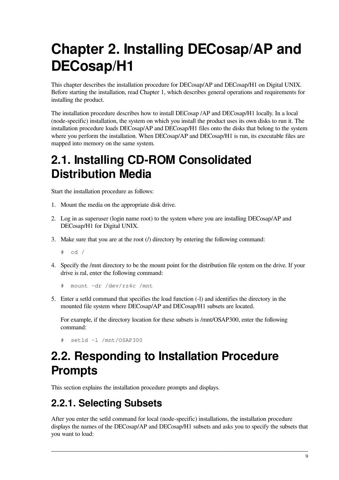# <span id="page-14-0"></span>**Chapter 2. Installing DECosap/AP and DECosap/H1**

This chapter describes the installation procedure for DECosap/AP and DECosap/H1 on Digital UNIX. Before starting the installation, read [Chapter](#page-6-0) 1, which describes general operations and requirements for installing the product.

The installation procedure describes how to install DECosap /AP and DECosap/H1 locally. In a local (node-specific) installation, the system on which you install the product uses its own disks to run it. The installation procedure loads DECosap/AP and DECosap/H1 files onto the disks that belong to the system where you perform the installation. When DECosap/AP and DECosap/H1 is run, its executable files are mapped into memory on the same system.

## <span id="page-14-1"></span>**2.1. Installing CD-ROM Consolidated Distribution Media**

Start the installation procedure as follows:

- 1. Mount the media on the appropriate disk drive.
- 2. Log in as superuser (login name root) to the system where you are installing DECosap/AP and DECosap/H1 for Digital UNIX.
- 3. Make sure that you are at the root  $($ ) directory by entering the following command:

 $#$  cd /

4. Specify the /mnt directory to be the mount point for the distribution file system on the drive. If your drive is ral, enter the following command:

```
# mount -dr /dev/rz4c /mnt
```
5. Enter a setld command that specifies the load function (-l) and identifies the directory in the mounted file system where DECosap/AP and DECosap/H1 subsets are located.

For example, if the directory location for these subsets is /mnt/OSAP300, enter the following command:

# setld -l /mnt/OSAP300

## <span id="page-14-2"></span>**2.2. Responding to Installation Procedure Prompts**

This section explains the installation procedure prompts and displays.

#### <span id="page-14-3"></span>**2.2.1. Selecting Subsets**

After you enter the setld command for local (node-specific) installations, the installation procedure displays the names of the DECosap/AP and DECosap/H1 subsets and asks you to specify the subsets that you want to load: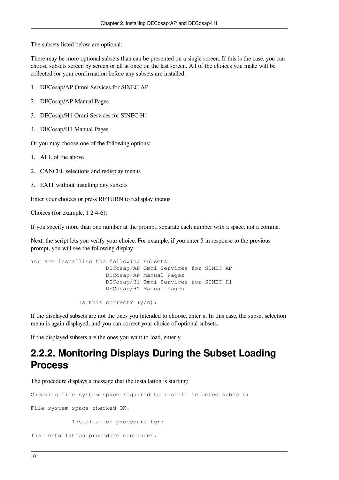The subsets listed below are optional:

There may be more optional subsets than can be presented on a single screen. If this is the case, you can choose subsets screen by screen or all at once on the last screen. All of the choices you make will be collected for your confirmation before any subsets are installed.

- 1. DECosap/AP Omni Services for SINEC AP
- 2. DECosap/AP Manual Pages
- 3. DECosap/H1 Omni Services for SINEC H1
- 4. DECosap/H1 Manual Pages

Or you may choose one of the following options:

- 1. ALL of the above
- 2. CANCEL selections and redisplay menus
- 3. EXIT without installing any subsets

Enter your choices or press RETURN to redisplay menus.

Choices (for example, 1 2 4-6):

If you specify more than one number at the prompt, separate each number with a space, not a comma.

Next, the script lets you verify your choice. For example, if you enter 5 in response to the previous prompt, you will see the following display:

```
You are installing the following subsets:
                       DECosap/AP Omni Services for SINEC AP
                       DECosap/AP Manual Pages
                       DECosap/H1 Omni Services for SINEC H1
                       DECosap/H1 Manual Pages
               Is this correct? (y/n):
```
If the displayed subsets are not the ones you intended to choose, enter n. In this case, the subset selection menu is again displayed, and you can correct your choice of optional subsets.

<span id="page-15-0"></span>If the displayed subsets are the ones you want to load, enter y.

#### **2.2.2. Monitoring Displays During the Subset Loading Process**

The procedure displays a message that the installation is starting:

Checking file system space required to install selected subsets:

File system space checked OK.

Installation procedure for:

The installation procedure continues.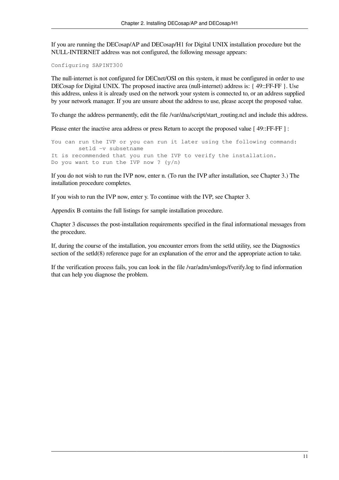If you are running the DECosap/AP and DECosap/H1 for Digital UNIX installation procedure but the NULL-INTERNET address was not configured, the following message appears:

Configuring SAPINT300

The null-internet is not configured for DECnet/OSI on this system, it must be configured in order to use DECosap for Digital UNIX. The proposed inactive area (null-internet) address is: { 49::FF-FF }. Use this address, unless it is already used on the network your system is connected to, or an address supplied by your network manager. If you are unsure about the address to use, please accept the proposed value.

To change the address permanently, edit the file /var/dna/script/start\_routing.ncl and include this address.

Please enter the inactive area address or press Return to accept the proposed value [49::FF-FF ]:

You can run the IVP or you can run it later using the following command: setld -v subsetname It is recommended that you run the IVP to verify the installation. Do you want to run the IVP now ?  $(y/n)$ 

If you do not wish to run the IVP now, enter n. (To run the IVP after installation, see [Chapter](#page-18-0) 3.) The installation procedure completes.

If you wish to run the IVP now, enter y. To continue with the IVP, see [Chapter](#page-18-0) 3.

[Appendix](#page-22-0) B contains the full listings for sample installation procedure.

[Chapter](#page-18-0) 3 discusses the post-installation requirements specified in the final informational messages from the procedure.

If, during the course of the installation, you encounter errors from the setld utility, see the Diagnostics section of the setld(8) reference page for an explanation of the error and the appropriate action to take.

If the verification process fails, you can look in the file /var/adm/smlogs/fverify.log to find information that can help you diagnose the problem.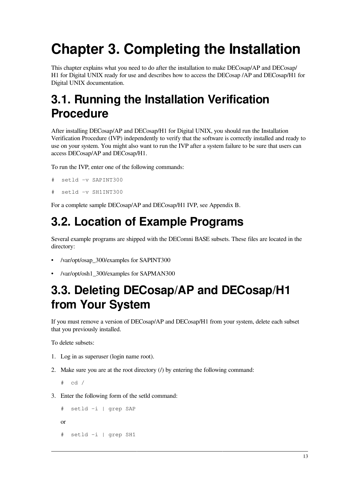# <span id="page-18-0"></span>**Chapter 3. Completing the Installation**

This chapter explains what you need to do after the installation to make DECosap/AP and DECosap/ H1 for Digital UNIX ready for use and describes how to access the DECosap /AP and DECosap/H1 for Digital UNIX documentation.

## <span id="page-18-1"></span>**3.1. Running the Installation Verification Procedure**

After installing DECosap/AP and DECosap/H1 for Digital UNIX, you should run the Installation Verification Procedure (IVP) independently to verify that the software is correctly installed and ready to use on your system. You might also want to run the IVP after a system failure to be sure that users can access DECosap/AP and DECosap/H1.

To run the IVP, enter one of the following commands:

```
# setld -v SAPINT300
```

```
setld -v SH1INT300
```
For a complete sample DECosap/AP and DECosap/H1 IVP, see [Appendix](#page-22-0) B.

## <span id="page-18-2"></span>**3.2. Location of Example Programs**

Several example programs are shipped with the DEComni BASE subsets. These files are located in the directory:

- /var/opt/osap\_300/examples for SAPINT300
- /var/opt/osh1\_300/examples for SAPMAN300

## <span id="page-18-3"></span>**3.3. Deleting DECosap/AP and DECosap/H1 from Your System**

If you must remove a version of DECosap/AP and DECosap/H1 from your system, delete each subset that you previously installed.

To delete subsets:

- 1. Log in as superuser (login name root).
- 2. Make sure you are at the root directory  $(1)$  by entering the following command:

```
# cd /
```
3. Enter the following form of the setld command:

```
# setld -i | grep SAP
```
or

# setld -i | grep SH1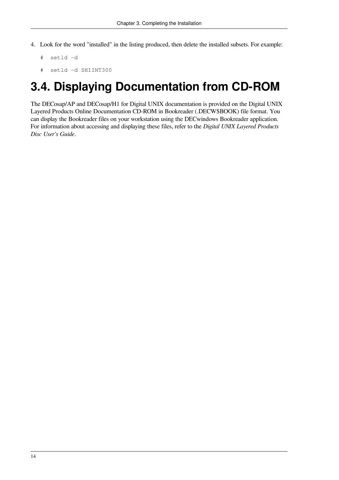- 4. Look for the word "installed" in the listing produced, then delete the installed subsets. For example:
	- # setld -d
	- # setld -d SH1INT300

## <span id="page-19-0"></span>**3.4. Displaying Documentation from CD-ROM**

The DECosap/AP and DECosap/H1 for Digital UNIX documentation is provided on the Digital UNIX Layered Products Online Documentation CD-ROM in Bookreader (.DECW\$BOOK) file format. You can display the Bookreader files on your workstation using the DECwindows Bookreader application. For information about accessing and displaying these files, refer to the *Digital UNIX Layered Products Disc User's Guide*.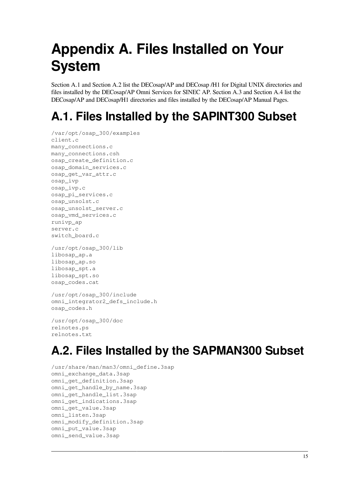# <span id="page-20-0"></span>**Appendix A. Files Installed on Your System**

Section A.1 and Section A.2 list the DECosap/AP and DECosap /H1 for Digital UNIX directories and files installed by the DECosap/AP Omni Services for SINEC AP. Section A.3 and Section A.4 list the DECosap/AP and DECosap/H1 directories and files installed by the DECosap/AP Manual Pages.

## <span id="page-20-1"></span>**A.1. Files Installed by the SAPINT300 Subset**

```
/var/opt/osap_300/examples
client.c
many_connections.c
many_connections.csh
osap_create_definition.c
osap_domain_services.c
osap_get_var_attr.c
osap_ivp
osap_ivp.c
osap_pi_services.c
osap_unsolst.c
osap_unsolst_server.c
osap_vmd_services.c
runivp_ap
server.c
switch board.c
```

```
/usr/opt/osap_300/lib
libosap_ap.a
libosap_ap.so
libosap_spt.a
libosap_spt.so
osap_codes.cat
```

```
/usr/opt/osap_300/include
omni_integrator2_defs_include.h
osap_codes.h
```

```
/usr/opt/osap_300/doc
relnotes.ps
relnotes.txt
```
## <span id="page-20-2"></span>**A.2. Files Installed by the SAPMAN300 Subset**

```
/usr/share/man/man3/omni_define.3sap
omni_exchange_data.3sap
omni_get_definition.3sap
omni_get_handle_by_name.3sap
omni_get_handle_list.3sap
omni_get_indications.3sap
omni_get_value.3sap
omni_listen.3sap
omni_modify_definition.3sap
omni_put_value.3sap
omni_send_value.3sap
```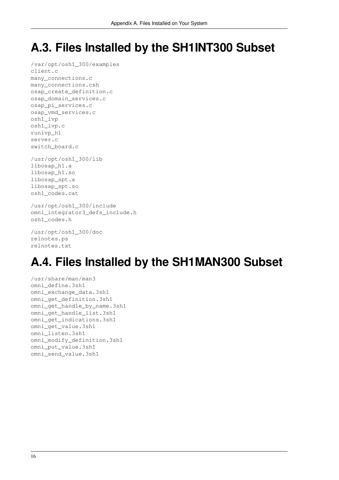## <span id="page-21-0"></span>**A.3. Files Installed by the SH1INT300 Subset**

/var/opt/osh1\_300/examples client.c many\_connections.c many\_connections.csh osap\_create\_definition.c osap\_domain\_services.c osap\_pi\_services.c osap\_vmd\_services.c osh1\_ivp osh1\_ivp.c runivp\_h1 server.c switch\_board.c

/usr/opt/osh1\_300/lib libosap\_h1.a libosap\_h1.so libosap\_spt.a libosap\_spt.so osh1\_codes.cat

#### /usr/opt/osh1\_300/include omni\_integrator3\_defs\_include.h osh1\_codes.h

/usr/opt/osh1\_300/doc relnotes.ps relnotes.txt

## <span id="page-21-1"></span>**A.4. Files Installed by the SH1MAN300 Subset**

/usr/share/man/man3 omni\_define.3sh1 omni\_exchange\_data.3sh1 omni\_get\_definition.3sh1 omni\_get\_handle\_by\_name.3sh1 omni\_get\_handle\_list.3sh1 omni\_get\_indications.3sh1 omni\_get\_value.3sh1 omni\_listen.3sh1 omni\_modify\_definition.3sh1 omni\_put\_value.3sh1 omni\_send\_value.3sh1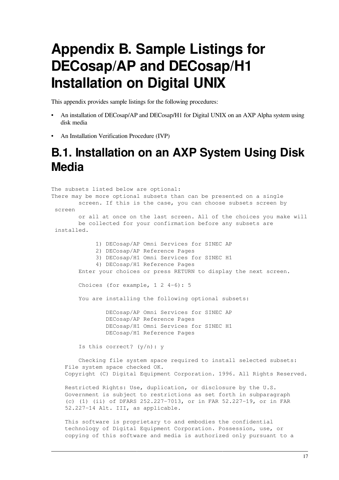# <span id="page-22-0"></span>**Appendix B. Sample Listings for DECosap/AP and DECosap/H1 Installation on Digital UNIX**

This appendix provides sample listings for the following procedures:

- An installation of DECosap/AP and DECosap/H1 for Digital UNIX on an AXP Alpha system using disk media
- <span id="page-22-1"></span>• An Installation Verification Procedure (IVP)

### **B.1. Installation on an AXP System Using Disk Media**

The subsets listed below are optional: There may be more optional subsets than can be presented on a single screen. If this is the case, you can choose subsets screen by screen or all at once on the last screen. All of the choices you make will be collected for your confirmation before any subsets are installed. 1) DECosap/AP Omni Services for SINEC AP 2) DECosap/AP Reference Pages 3) DECosap/H1 Omni Services for SINEC H1 4) DECosap/H1 Reference Pages Enter your choices or press RETURN to display the next screen. Choices (for example, 1 2 4-6): 5 You are installing the following optional subsets: DECosap/AP Omni Services for SINEC AP DECosap/AP Reference Pages DECosap/H1 Omni Services for SINEC H1 DECosap/H1 Reference Pages Is this correct? (y/n): y Checking file system space required to install selected subsets: File system space checked OK. Copyright (C) Digital Equipment Corporation. 1996. All Rights Reserved. Restricted Rights: Use, duplication, or disclosure by the U.S.

 Government is subject to restrictions as set forth in subparagraph (c) (1) (ii) of DFARS 252.227-7013, or in FAR 52.227-19, or in FAR 52.227-14 Alt. III, as applicable.

 This software is proprietary to and embodies the confidential technology of Digital Equipment Corporation. Possession, use, or copying of this software and media is authorized only pursuant to a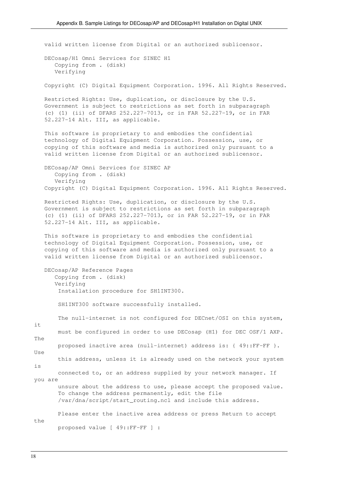valid written license from Digital or an authorized sublicensor. DECosap/H1 Omni Services for SINEC H1 Copying from . (disk) Verifying Copyright (C) Digital Equipment Corporation. 1996. All Rights Reserved. Restricted Rights: Use, duplication, or disclosure by the U.S. Government is subject to restrictions as set forth in subparagraph (c) (1) (ii) of DFARS 252.227-7013, or in FAR 52.227-19, or in FAR 52.227-14 Alt. III, as applicable. This software is proprietary to and embodies the confidential technology of Digital Equipment Corporation. Possession, use, or copying of this software and media is authorized only pursuant to a valid written license from Digital or an authorized sublicensor. DECosap/AP Omni Services for SINEC AP Copying from . (disk) Verifying Copyright (C) Digital Equipment Corporation. 1996. All Rights Reserved. Restricted Rights: Use, duplication, or disclosure by the U.S. Government is subject to restrictions as set forth in subparagraph (c) (1) (ii) of DFARS 252.227-7013, or in FAR 52.227-19, or in FAR 52.227-14 Alt. III, as applicable. This software is proprietary to and embodies the confidential technology of Digital Equipment Corporation. Possession, use, or copying of this software and media is authorized only pursuant to a valid written license from Digital or an authorized sublicensor. DECosap/AP Reference Pages Copying from . (disk) Verifying Installation procedure for SH1INT300. SH1INT300 software successfully installed. The null-internet is not configured for DECnet/OSI on this system, it must be configured in order to use DECosap (H1) for DEC OSF/1 AXP. The proposed inactive area (null-internet) address is: { 49::FF-FF }. Use this address, unless it is already used on the network your system is connected to, or an address supplied by your network manager. If you are unsure about the address to use, please accept the proposed value. To change the address permanently, edit the file /var/dna/script/start\_routing.ncl and include this address. Please enter the inactive area address or press Return to accept the proposed value [ 49::FF-FF ] :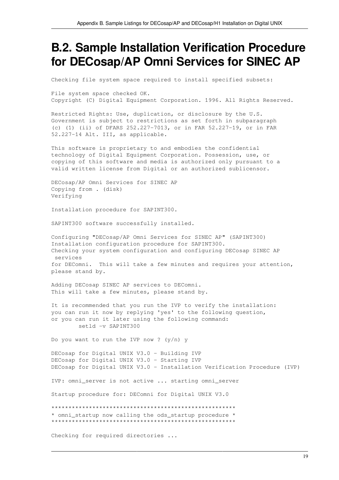### <span id="page-24-0"></span>**B.2. Sample Installation Verification Procedure for DECosap/AP Omni Services for SINEC AP**

Checking file system space required to install specified subsets:

File system space checked OK. Copyright (C) Digital Equipment Corporation. 1996. All Rights Reserved.

Restricted Rights: Use, duplication, or disclosure by the U.S. Government is subject to restrictions as set forth in subparagraph (c) (1) (ii) of DFARS 252.227-7013, or in FAR 52.227-19, or in FAR 52.227-14 Alt. III, as applicable.

This software is proprietary to and embodies the confidential technology of Digital Equipment Corporation. Possession, use, or copying of this software and media is authorized only pursuant to a valid written license from Digital or an authorized sublicensor.

DECosap/AP Omni Services for SINEC AP Copying from . (disk) Verifying

Installation procedure for SAPINT300.

SAPINT300 software successfully installed.

Configuring "DECosap/AP Omni Services for SINEC AP" (SAPINT300) Installation configuration procedure for SAPINT300. Checking your system configuration and configuring DECosap SINEC AP services for DEComni. This will take a few minutes and requires your attention, please stand by.

Adding DECosap SINEC AP services to DEComni. This will take a few minutes, please stand by.

It is recommended that you run the IVP to verify the installation: you can run it now by replying 'yes' to the following question, or you can run it later using the following command: setld -v SAPINT300

Do you want to run the IVP now ? (y/n) y

DECosap for Digital UNIX V3.0 - Building IVP DECosap for Digital UNIX V3.0 - Starting IVP DECosap for Digital UNIX V3.0 - Installation Verification Procedure (IVP)

IVP: omni\_server is not active ... starting omni\_server

Startup procedure for: DEComni for Digital UNIX V3.0

\*\*\*\*\*\*\*\*\*\*\*\*\*\*\*\*\*\*\*\*\*\*\*\*\*\*\*\*\*\*\*\*\*\*\*\*\*\*\*\*\*\*\*\*\*\*\*\*\*\*\*\*\*\* \* omni\_startup now calling the ods\_startup procedure \*

\*\*\*\*\*\*\*\*\*\*\*\*\*\*\*\*\*\*\*\*\*\*\*\*\*\*\*\*\*\*\*\*\*\*\*\*\*\*\*\*\*\*\*\*\*\*\*\*\*\*\*\*\*\*

Checking for required directories ...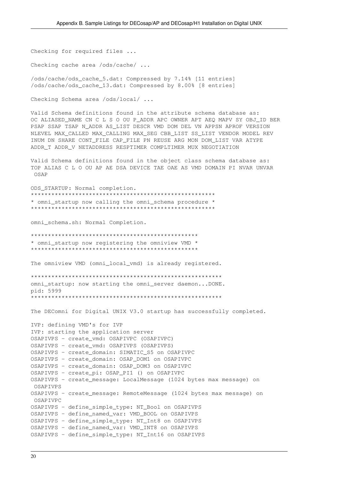Checking for required files ...

Checking cache area /ods/cache/ ...

/ods/cache/ods\_cache\_5.dat: Compressed by 7.14% [11 entries] /ods/cache/ods\_cache\_13.dat: Compressed by 8.00% [8 entries]

Checking Schema area /ods/local/ ...

Valid Schema definitions found in the attribute schema database as: OC ALIASED\_NAME CN C L S O OU P\_ADDR APC OWNER APT AEQ MAPV SY OBJ\_ID BER PSAP SSAP TSAP N\_ADDR AS\_LIST DESCR VMD DOM DEL VN APPSN APROF VERSION NLEVEL MAX\_CALLED MAX\_CALLING MAX\_SEG CBB\_LIST SS\_LIST VENDOR MODEL REV INUM DN SHARE CONT\_FILE CAP\_FILE PN REUSE ARG MON DOM\_LIST VAR ATYPE ADDR\_T ADDR\_V NETADDRESS RESPTIMER COMPLTIMER MUX NEGOTIATION

Valid Schema definitions found in the object class schema database as: TOP ALIAS C L O OU AP AE DSA DEVICE TAE OAE AS VMD DOMAIN PI NVAR UNVAR OSAP

ODS\_STARTUP: Normal completion. \*\*\*\*\*\*\*\*\*\*\*\*\*\*\*\*\*\*\*\*\*\*\*\*\*\*\*\*\*\*\*\*\*\*\*\*\*\*\*\*\*\*\*\*\*\*\*\*\*\*\*\*\*\* \* omni\_startup now calling the omni\_schema procedure \* \*\*\*\*\*\*\*\*\*\*\*\*\*\*\*\*\*\*\*\*\*\*\*\*\*\*\*\*\*\*\*\*\*\*\*\*\*\*\*\*\*\*\*\*\*\*\*\*\*\*\*\*\*\*

omni\_schema.sh: Normal Completion.

\*\*\*\*\*\*\*\*\*\*\*\*\*\*\*\*\*\*\*\*\*\*\*\*\*\*\*\*\*\*\*\*\*\*\*\*\*\*\*\*\*\*\*\*\*\*\*\*\* \* omni\_startup now registering the omniview VMD \* \*\*\*\*\*\*\*\*\*\*\*\*\*\*\*\*\*\*\*\*\*\*\*\*\*\*\*\*\*\*\*\*\*\*\*\*\*\*\*\*\*\*\*\*\*\*\*\*\*

The omniview VMD (omni\_local\_vmd) is already registered.

```
********************************************************
omni_startup: now starting the omni_server daemon...DONE.
pid: 5999
********************************************************
```
The DEComni for Digital UNIX V3.0 startup has successfully completed.

```
IVP: defining VMD's for IVP
IVP: starting the application server
OSAPIVPS - create_vmd: OSAPIVPC (OSAPIVPC)
OSAPIVPS - create_vmd: OSAPIVPS (OSAPIVPS)
OSAPIVPS - create_domain: SIMATIC_S5 on OSAPIVPC
OSAPIVPS - create_domain: OSAP_DOM1 on OSAPIVPC
OSAPIVPS - create_domain: OSAP_DOM3 on OSAPIVPC
OSAPIVPS - create_pi: OSAP_PI1 () on OSAPIVPC
OSAPIVPS - create message: LocalMessage (1024 bytes max message) on
 OSAPIVPS
OSAPIVPS - create_message: RemoteMessage (1024 bytes max message) on
 OSAPIVPC
OSAPIVPS - define_simple_type: NT_Bool on OSAPIVPS
OSAPIVPS - define_named_var: VMD_BOOL on OSAPIVPS
OSAPIVPS - define_simple_type: NT_Int8 on OSAPIVPS
OSAPIVPS - define_named_var: VMD_INT8 on OSAPIVPS
OSAPIVPS - define_simple_type: NT_Int16 on OSAPIVPS
```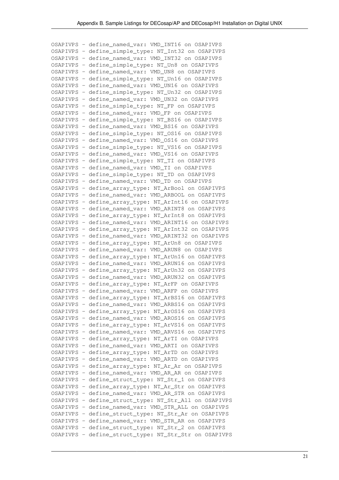OSAPIVPS - define\_named\_var: VMD\_INT16 on OSAPIVPS OSAPIVPS - define\_simple\_type: NT\_Int32 on OSAPIVPS OSAPIVPS - define\_named\_var: VMD\_INT32 on OSAPIVPS OSAPIVPS - define\_simple\_type: NT\_Un8 on OSAPIVPS OSAPIVPS - define\_named\_var: VMD\_UN8 on OSAPIVPS OSAPIVPS - define\_simple\_type: NT\_Un16 on OSAPIVPS OSAPIVPS - define\_named\_var: VMD\_UN16 on OSAPIVPS OSAPIVPS - define\_simple\_type: NT\_Un32 on OSAPIVPS OSAPIVPS - define\_named\_var: VMD\_UN32 on OSAPIVPS OSAPIVPS - define\_simple\_type: NT\_FP on OSAPIVPS OSAPIVPS - define\_named\_var: VMD\_FP on OSAPIVPS OSAPIVPS - define\_simple\_type: NT\_BS16 on OSAPIVPS OSAPIVPS - define\_named\_var: VMD\_BS16 on OSAPIVPS OSAPIVPS - define\_simple\_type: NT\_OS16 on OSAPIVPS OSAPIVPS - define\_named\_var: VMD\_OS16 on OSAPIVPS OSAPIVPS - define\_simple\_type: NT\_VS16 on OSAPIVPS OSAPIVPS - define\_named\_var: VMD\_VS16 on OSAPIVPS OSAPIVPS - define\_simple\_type: NT\_TI on OSAPIVPS OSAPIVPS - define\_named\_var: VMD\_TI on OSAPIVPS OSAPIVPS - define\_simple\_type: NT\_TD on OSAPIVPS OSAPIVPS - define\_named\_var: VMD\_TD on OSAPIVPS OSAPIVPS - define\_array\_type: NT\_ArBool on OSAPIVPS OSAPIVPS - define\_named\_var: VMD\_ARBOOL on OSAPIVPS OSAPIVPS - define\_array\_type: NT\_ArInt16 on OSAPIVPS OSAPIVPS - define\_named\_var: VMD\_ARINT8 on OSAPIVPS OSAPIVPS - define\_array\_type: NT\_ArInt8 on OSAPIVPS OSAPIVPS - define\_named\_var: VMD\_ARINT16 on OSAPIVPS OSAPIVPS - define\_array\_type: NT\_ArInt32 on OSAPIVPS OSAPIVPS - define\_named\_var: VMD\_ARINT32 on OSAPIVPS OSAPIVPS - define\_array\_type: NT\_ArUn8 on OSAPIVPS OSAPIVPS - define\_named\_var: VMD\_ARUN8 on OSAPIVPS OSAPIVPS - define\_array\_type: NT\_ArUn16 on OSAPIVPS OSAPIVPS - define\_named\_var: VMD\_ARUN16 on OSAPIVPS OSAPIVPS - define\_array\_type: NT\_ArUn32 on OSAPIVPS OSAPIVPS - define\_named\_var: VMD\_ARUN32 on OSAPIVPS OSAPIVPS - define\_array\_type: NT\_ArFP on OSAPIVPS OSAPIVPS - define\_named\_var: VMD\_ARFP on OSAPIVPS OSAPIVPS - define\_array\_type: NT\_ArBS16 on OSAPIVPS OSAPIVPS - define\_named\_var: VMD\_ARBS16 on OSAPIVPS OSAPIVPS - define\_array\_type: NT\_ArOS16 on OSAPIVPS OSAPIVPS - define\_named\_var: VMD\_AROS16 on OSAPIVPS OSAPIVPS - define\_array\_type: NT\_ArVS16 on OSAPIVPS OSAPIVPS - define\_named\_var: VMD\_ARVS16 on OSAPIVPS OSAPIVPS - define\_array\_type: NT\_ArTI on OSAPIVPS OSAPIVPS - define\_named\_var: VMD\_ARTI on OSAPIVPS OSAPIVPS - define\_array\_type: NT\_ArTD on OSAPIVPS OSAPIVPS - define\_named\_var: VMD\_ARTD on OSAPIVPS OSAPIVPS - define\_array\_type: NT\_Ar\_Ar on OSAPIVPS OSAPIVPS - define\_named\_var: VMD\_AR\_AR on OSAPIVPS OSAPIVPS - define\_struct\_type: NT\_Str\_1 on OSAPIVPS OSAPIVPS - define\_array\_type: NT\_Ar\_Str on OSAPIVPS OSAPIVPS - define\_named\_var: VMD\_AR\_STR on OSAPIVPS OSAPIVPS - define\_struct\_type: NT\_Str\_All on OSAPIVPS OSAPIVPS - define\_named\_var: VMD\_STR\_ALL on OSAPIVPS OSAPIVPS - define\_struct\_type: NT\_Str\_Ar on OSAPIVPS OSAPIVPS - define\_named\_var: VMD\_STR\_AR on OSAPIVPS OSAPIVPS - define\_struct\_type: NT\_Str\_2 on OSAPIVPS OSAPIVPS - define\_struct\_type: NT\_Str\_Str on OSAPIVPS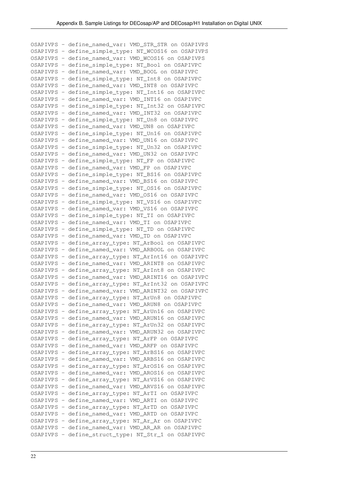OSAPIVPS - define\_named\_var: VMD\_STR\_STR on OSAPIVPS OSAPIVPS - define\_simple\_type: NT\_WCOS16 on OSAPIVPS OSAPIVPS - define\_named\_var: VMD\_WCOS16 on OSAPIVPS OSAPIVPS - define\_simple\_type: NT\_Bool on OSAPIVPC OSAPIVPS - define\_named\_var: VMD\_BOOL on OSAPIVPC OSAPIVPS - define\_simple\_type: NT\_Int8 on OSAPIVPC OSAPIVPS - define\_named\_var: VMD\_INT8 on OSAPIVPC OSAPIVPS - define\_simple\_type: NT\_Int16 on OSAPIVPC OSAPIVPS - define\_named\_var: VMD\_INT16 on OSAPIVPC OSAPIVPS - define\_simple\_type: NT\_Int32 on OSAPIVPC OSAPIVPS - define\_named\_var: VMD\_INT32 on OSAPIVPC OSAPIVPS - define\_simple\_type: NT\_Un8 on OSAPIVPC OSAPIVPS - define\_named\_var: VMD\_UN8 on OSAPIVPC OSAPIVPS - define\_simple\_type: NT\_Un16 on OSAPIVPC OSAPIVPS - define\_named\_var: VMD\_UN16 on OSAPIVPC OSAPIVPS - define\_simple\_type: NT\_Un32 on OSAPIVPC OSAPIVPS - define\_named\_var: VMD\_UN32 on OSAPIVPC OSAPIVPS - define\_simple\_type: NT\_FP on OSAPIVPC OSAPIVPS - define\_named\_var: VMD\_FP on OSAPIVPC OSAPIVPS - define\_simple\_type: NT\_BS16 on OSAPIVPC OSAPIVPS - define\_named\_var: VMD\_BS16 on OSAPIVPC OSAPIVPS - define\_simple\_type: NT\_OS16 on OSAPIVPC OSAPIVPS - define\_named\_var: VMD\_OS16 on OSAPIVPC OSAPIVPS - define\_simple\_type: NT\_VS16 on OSAPIVPC OSAPIVPS - define\_named\_var: VMD\_VS16 on OSAPIVPC OSAPIVPS - define\_simple\_type: NT\_TI on OSAPIVPC OSAPIVPS - define\_named\_var: VMD\_TI on OSAPIVPC OSAPIVPS - define\_simple\_type: NT\_TD on OSAPIVPC OSAPIVPS - define\_named\_var: VMD\_TD on OSAPIVPC OSAPIVPS - define\_array\_type: NT\_ArBool on OSAPIVPC OSAPIVPS - define\_named\_var: VMD\_ARBOOL on OSAPIVPC OSAPIVPS - define\_array\_type: NT\_ArInt16 on OSAPIVPC OSAPIVPS - define\_named\_var: VMD\_ARINT8 on OSAPIVPC OSAPIVPS - define\_array\_type: NT\_ArInt8 on OSAPIVPC OSAPIVPS - define\_named\_var: VMD\_ARINT16 on OSAPIVPC OSAPIVPS - define\_array\_type: NT\_ArInt32 on OSAPIVPC OSAPIVPS - define\_named\_var: VMD\_ARINT32 on OSAPIVPC OSAPIVPS - define\_array\_type: NT\_ArUn8 on OSAPIVPC OSAPIVPS - define\_named\_var: VMD\_ARUN8 on OSAPIVPC OSAPIVPS - define\_array\_type: NT\_ArUn16 on OSAPIVPC OSAPIVPS - define\_named\_var: VMD\_ARUN16 on OSAPIVPC OSAPIVPS - define\_array\_type: NT\_ArUn32 on OSAPIVPC OSAPIVPS - define\_named\_var: VMD\_ARUN32 on OSAPIVPC OSAPIVPS - define\_array\_type: NT\_ArFP on OSAPIVPC OSAPIVPS - define\_named\_var: VMD\_ARFP on OSAPIVPC OSAPIVPS - define\_array\_type: NT\_ArBS16 on OSAPIVPC OSAPIVPS - define\_named\_var: VMD\_ARBS16 on OSAPIVPC OSAPIVPS - define\_array\_type: NT\_ArOS16 on OSAPIVPC OSAPIVPS - define\_named\_var: VMD\_AROS16 on OSAPIVPC OSAPIVPS - define\_array\_type: NT\_ArVS16 on OSAPIVPC OSAPIVPS - define\_named\_var: VMD\_ARVS16 on OSAPIVPC OSAPIVPS - define\_array\_type: NT\_ArTI on OSAPIVPC OSAPIVPS - define\_named\_var: VMD\_ARTI on OSAPIVPC OSAPIVPS - define\_array\_type: NT\_ArTD on OSAPIVPC OSAPIVPS - define\_named\_var: VMD\_ARTD on OSAPIVPC OSAPIVPS - define\_array\_type: NT\_Ar\_Ar on OSAPIVPC OSAPIVPS - define\_named\_var: VMD\_AR\_AR on OSAPIVPC OSAPIVPS - define\_struct\_type: NT\_Str\_1 on OSAPIVPC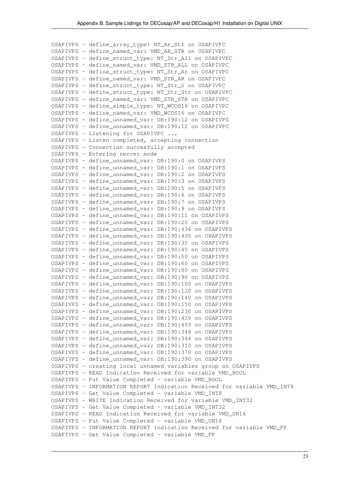OSAPIVPS - define\_array\_type: NT\_Ar\_Str on OSAPIVPC OSAPIVPS - define\_named\_var: VMD\_AR\_STR on OSAPIVPC OSAPIVPS - define\_struct\_type: NT\_Str\_All on OSAPIVPC OSAPIVPS - define\_named\_var: VMD\_STR\_ALL on OSAPIVPC OSAPIVPS - define\_struct\_type: NT\_Str\_Ar on OSAPIVPC OSAPIVPS - define\_named\_var: VMD\_STR\_AR on OSAPIVPC OSAPIVPS - define\_struct\_type: NT\_Str\_2 on OSAPIVPC OSAPIVPS - define\_struct\_type: NT\_Str\_Str on OSAPIVPC OSAPIVPS - define\_named\_var: VMD\_STR\_STR on OSAPIVPC OSAPIVPS - define\_simple\_type: NT\_WCOS16 on OSAPIVPC OSAPIVPS - define\_named\_var: VMD\_WCOS16 on OSAPIVPC OSAPIVPS - define\_unnamed\_var: DB:190:12 on OSAPIVPS OSAPIVPS - define\_unnamed\_var: DB:190:12 on OSAPIVPC OSAPIVPS - Listening for OSAPIVPC ... OSAPIVPS - Listen completed, accepting connection OSAPIVPS - Connection succesfully accepted OSAPIVPS - Entering server mode OSAPIVPS - define\_unnamed\_var: DB:190:0 on OSAPIVPS OSAPIVPS - define\_unnamed\_var: DB:190:1 on OSAPIVPS OSAPIVPS - define\_unnamed\_var: DB:190:2 on OSAPIVPS OSAPIVPS - define\_unnamed\_var: DB:190:3 on OSAPIVPS OSAPIVPS - define\_unnamed\_var: DB:190:5 on OSAPIVPS OSAPIVPS - define\_unnamed\_var: DB:190:6 on OSAPIVPS OSAPIVPS - define\_unnamed\_var: DB:190:7 on OSAPIVPS OSAPIVPS - define\_unnamed\_var: DB:190:9 on OSAPIVPS OSAPIVPS - define\_unnamed\_var: DB:190:11 on OSAPIVPS OSAPIVPS - define\_unnamed\_var: DB:190:20 on OSAPIVPS OSAPIVPS - define\_unnamed\_var: DB:190:434 on OSAPIVPS OSAPIVPS - define\_unnamed\_var: DB:190:436 on OSAPIVPS OSAPIVPS - define\_unnamed\_var: DB:190:30 on OSAPIVPS OSAPIVPS - define\_unnamed\_var: DB:190:40 on OSAPIVPS OSAPIVPS - define\_unnamed\_var: DB:190:50 on OSAPIVPS OSAPIVPS - define\_unnamed\_var: DB:190:60 on OSAPIVPS OSAPIVPS - define\_unnamed\_var: DB:190:80 on OSAPIVPS OSAPIVPS - define\_unnamed\_var: DB:190:90 on OSAPIVPS OSAPIVPS - define\_unnamed\_var: DB:190:100 on OSAPIVPS OSAPIVPS - define\_unnamed\_var: DB:190:120 on OSAPIVPS OSAPIVPS - define\_unnamed\_var: DB:190:140 on OSAPIVPS OSAPIVPS - define\_unnamed\_var: DB:190:150 on OSAPIVPS OSAPIVPS - define\_unnamed\_var: DB:190:230 on OSAPIVPS OSAPIVPS - define\_unnamed\_var: DB:190:439 on OSAPIVPS OSAPIVPS - define\_unnamed\_var: DB:190:459 on OSAPIVPS OSAPIVPS - define\_unnamed\_var: DB:190:348 on OSAPIVPS OSAPIVPS - define\_unnamed\_var: DB:190:344 on OSAPIVPS OSAPIVPS - define\_unnamed\_var: DB:190:310 on OSAPIVPS OSAPIVPS - define\_unnamed\_var: DB:190:370 on OSAPIVPS OSAPIVPS - define\_unnamed\_var: DB:190:390 on OSAPIVPS OSAPIVPS - creating local unnamed variables group on OSAPIVPS OSAPIVPS - READ Indication Received for variable VMD\_BOOL OSAPIVPS - Put Value Completed - variable VMD\_BOOL OSAPIVPS - INFORMATION REPORT Indication Received for variable VMD\_INT8 OSAPIVPS - Get Value Completed - variable VMD\_INT8 OSAPIVPS - WRITE Indication Received for variable VMD\_INT32 OSAPIVPS - Get Value Completed - variable VMD\_INT32 OSAPIVPS - READ Indication Received for variable VMD\_UN16 OSAPIVPS - Put Value Completed - variable VMD\_UN16 OSAPIVPS - INFORMATION REPORT Indication Received for variable VMD\_FP OSAPIVPS - Get Value Completed - variable VMD\_FP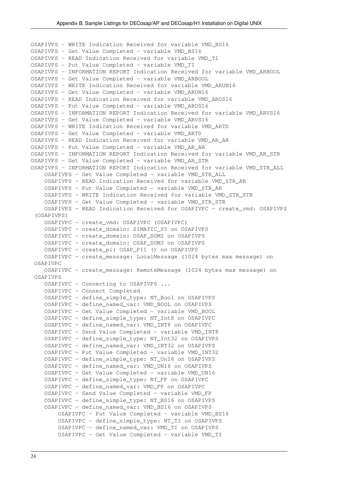```
OSAPIVPS - WRITE Indication Received for variable VMD_BS16
OSAPIVPS - Get Value Completed - variable VMD_BS16
OSAPIVPS - READ Indication Received for variable VMD_TI
OSAPIVPS - Put Value Completed - variable VMD_TI
OSAPIVPS - INFORMATION REPORT Indication Received for variable VMD_ARBOOL
OSAPIVPS - Get Value Completed - variable VMD_ARBOOL
OSAPIVPS - WRITE Indication Received for variable VMD_ARUN16
OSAPIVPS - Get Value Completed - variable VMD_ARUN16
OSAPIVPS - READ Indication Received for variable VMD_AROS16
OSAPIVPS - Put Value Completed - variable VMD_AROS16
OSAPIVPS - INFORMATION REPORT Indication Received for variable VMD_ARVS16
OSAPIVPS - Get Value Completed - variable VMD_ARVS16
OSAPIVPS - WRITE Indication Received for variable VMD_ARTD
OSAPIVPS - Get Value Completed - variable VMD_ARTD
OSAPIVPS - READ Indication Received for variable VMD_AR_AR
OSAPIVPS - Put Value Completed - variable VMD_AR_AR
OSAPIVPS - INFORMATION REPORT Indication Received for variable VMD_AR_STR
OSAPIVPS - Get Value Completed - variable VMD_AR_STR
OSAPIVPS - INFORMATION REPORT Indication Received for variable VMD_STR_ALL
     OSAPIVPS - Get Value Completed - variable VMD_STR_ALL
     OSAPIVPS - READ Indication Received for variable VMD_STR_AR
     OSAPIVPS - Put Value Completed - variable VMD_STR_AR
     OSAPIVPS - WRITE Indication Received for variable VMD_STR_STR
     OSAPIVPS - Get Value Completed - variable VMD_STR_STR
     OSAPIVPS - READ Indication Received for OSAPIVPC - create_vmd: OSAPIVPS
  (OSAPIVPS)
     OSAPIVPC - create_vmd: OSAPIVPC (OSAPIVPC)
     OSAPIVPC - create_domain: SIMATIC_S5 on OSAPIVPS
     OSAPIVPC - create_domain: OSAP_DOM1 on OSAPIVPS
     OSAPIVPC - create_domain: OSAP_DOM3 on OSAPIVPS
     OSAPIVPC - create_pi: OSAP_PI1 () on OSAPIVPS
    OSAPIVPC - create message: LocalMessage (1024 bytes max message) on
  OSAPIVPC
    OSAPIVPC - create message: RemoteMessage (1024 bytes max message) on
  OSAPIVPS
     OSAPIVPC - Connecting to OSAPIVPS ...
     OSAPIVPC - Connect Completed
     OSAPIVPC - define_simple_type: NT_Bool on OSAPIVPS
     OSAPIVPC - define_named_var: VMD_BOOL on OSAPIVPS
     OSAPIVPC - Get Value Completed - variable VMD_BOOL
     OSAPIVPC - define_simple_type: NT_Int8 on OSAPIVPC
     OSAPIVPC - define_named_var: VMD_INT8 on OSAPIVPC
     OSAPIVPC - Send Value Completed - variable VMD_INT8
     OSAPIVPC - define_simple_type: NT_Int32 on OSAPIVPS
     OSAPIVPC - define_named_var: VMD_INT32 on OSAPIVPS
     OSAPIVPC - Put Value Completed - variable VMD_INT32
     OSAPIVPC - define_simple_type: NT_Un16 on OSAPIVPS
     OSAPIVPC - define_named_var: VMD_UN16 on OSAPIVPS
     OSAPIVPC - Get Value Completed - variable VMD_UN16
     OSAPIVPC - define_simple_type: NT_FP on OSAPIVPC
     OSAPIVPC - define_named_var: VMD_FP on OSAPIVPC
     OSAPIVPC - Send Value Completed - variable VMD_FP
     OSAPIVPC - define_simple_type: NT_BS16 on OSAPIVPS
     OSAPIVPC - define_named_var: VMD_BS16 on OSAPIVPS
         OSAPIVPC - Put Value Completed - variable VMD_BS16
         OSAPIVPC - define_simple_type: NT_TI on OSAPIVPS
         OSAPIVPC - define_named_var: VMD_TI on OSAPIVPS
         OSAPIVPC - Get Value Completed - variable VMD_TI
```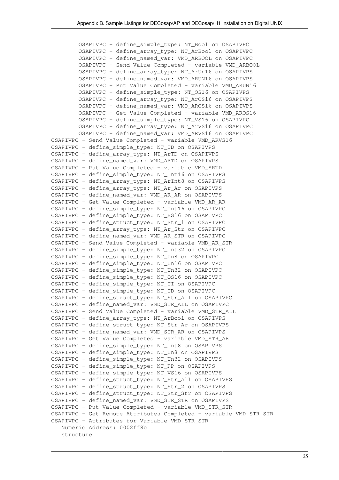OSAPIVPC - define\_simple\_type: NT\_Bool on OSAPIVPC OSAPIVPC - define\_array\_type: NT\_ArBool on OSAPIVPC OSAPIVPC - define\_named\_var: VMD\_ARBOOL on OSAPIVPC OSAPIVPC - Send Value Completed - variable VMD\_ARBOOL OSAPIVPC - define\_array\_type: NT\_ArUn16 on OSAPIVPS OSAPIVPC - define\_named\_var: VMD\_ARUN16 on OSAPIVPS OSAPIVPC - Put Value Completed - variable VMD\_ARUN16 OSAPIVPC - define\_simple\_type: NT\_OS16 on OSAPIVPS OSAPIVPC - define\_array\_type: NT\_ArOS16 on OSAPIVPS OSAPIVPC - define\_named\_var: VMD\_AROS16 on OSAPIVPS OSAPIVPC - Get Value Completed - variable VMD\_AROS16 OSAPIVPC - define\_simple\_type: NT\_VS16 on OSAPIVPC OSAPIVPC - define\_array\_type: NT\_ArVS16 on OSAPIVPC OSAPIVPC - define\_named\_var: VMD\_ARVS16 on OSAPIVPC OSAPIVPC - Send Value Completed - variable VMD\_ARVS16 OSAPIVPC - define\_simple\_type: NT\_TD on OSAPIVPS OSAPIVPC - define\_array\_type: NT\_ArTD on OSAPIVPS OSAPIVPC - define\_named\_var: VMD\_ARTD on OSAPIVPS OSAPIVPC - Put Value Completed - variable VMD\_ARTD OSAPIVPC - define\_simple\_type: NT\_Int16 on OSAPIVPS OSAPIVPC - define\_array\_type: NT\_ArInt8 on OSAPIVPS OSAPIVPC - define\_array\_type: NT\_Ar\_Ar on OSAPIVPS OSAPIVPC - define\_named\_var: VMD\_AR\_AR on OSAPIVPS OSAPIVPC - Get Value Completed - variable VMD\_AR\_AR OSAPIVPC - define\_simple\_type: NT\_Int16 on OSAPIVPC OSAPIVPC - define\_simple\_type: NT\_BS16 on OSAPIVPC OSAPIVPC - define\_struct\_type: NT\_Str\_1 on OSAPIVPC OSAPIVPC - define\_array\_type: NT\_Ar\_Str on OSAPIVPC OSAPIVPC - define\_named\_var: VMD\_AR\_STR on OSAPIVPC OSAPIVPC - Send Value Completed - variable VMD\_AR\_STR OSAPIVPC - define\_simple\_type: NT\_Int32 on OSAPIVPC OSAPIVPC - define\_simple\_type: NT\_Un8 on OSAPIVPC OSAPIVPC - define\_simple\_type: NT\_Un16 on OSAPIVPC OSAPIVPC - define\_simple\_type: NT\_Un32 on OSAPIVPC OSAPIVPC - define\_simple\_type: NT\_OS16 on OSAPIVPC OSAPIVPC - define\_simple\_type: NT\_TI on OSAPIVPC OSAPIVPC - define\_simple\_type: NT\_TD on OSAPIVPC OSAPIVPC - define\_struct\_type: NT\_Str\_All on OSAPIVPC OSAPIVPC - define\_named\_var: VMD\_STR\_ALL on OSAPIVPC OSAPIVPC - Send Value Completed - variable VMD\_STR\_ALL OSAPIVPC - define\_array\_type: NT\_ArBool on OSAPIVPS OSAPIVPC - define\_struct\_type: NT\_Str\_Ar on OSAPIVPS OSAPIVPC - define\_named\_var: VMD\_STR\_AR on OSAPIVPS OSAPIVPC - Get Value Completed - variable VMD\_STR\_AR OSAPIVPC - define\_simple\_type: NT\_Int8 on OSAPIVPS OSAPIVPC - define\_simple\_type: NT\_Un8 on OSAPIVPS OSAPIVPC - define\_simple\_type: NT\_Un32 on OSAPIVPS OSAPIVPC - define\_simple\_type: NT\_FP on OSAPIVPS OSAPIVPC - define\_simple\_type: NT\_VS16 on OSAPIVPS OSAPIVPC - define\_struct\_type: NT\_Str\_All on OSAPIVPS OSAPIVPC - define\_struct\_type: NT\_Str\_2 on OSAPIVPS OSAPIVPC - define\_struct\_type: NT\_Str\_Str on OSAPIVPS OSAPIVPC - define\_named\_var: VMD\_STR\_STR on OSAPIVPS OSAPIVPC - Put Value Completed - variable VMD\_STR\_STR OSAPIVPC - Get Remote Attributes Completed - variable VMD\_STR\_STR OSAPIVPC - Attributes for Variable VMD\_STR\_STR Numeric Address: 0002ff8b structure